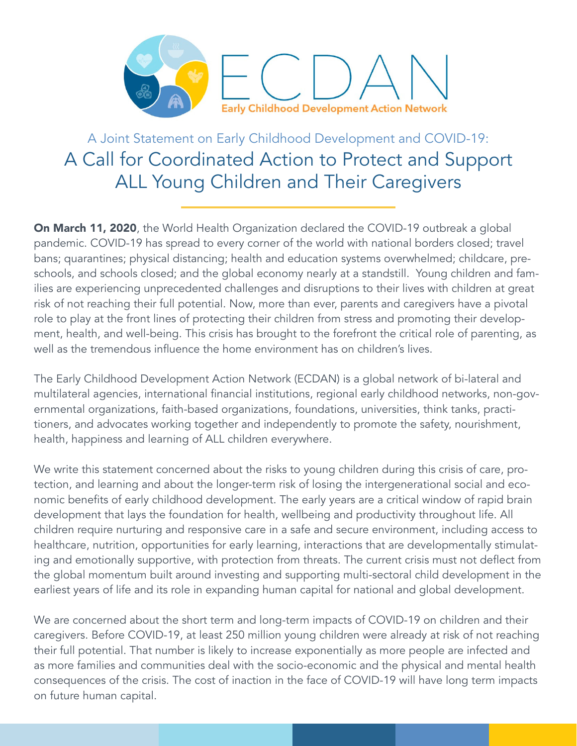

A Joint Statement on Early Childhood Development and COVID-19: A Call for Coordinated Action to Protect and Support ALL Young Children and Their Caregivers

On March 11, 2020, the World Health Organization declared the COVID-19 outbreak a global pandemic. COVID-19 has spread to every corner of the world with national borders closed; travel bans; quarantines; physical distancing; health and education systems overwhelmed; childcare, preschools, and schools closed; and the global economy nearly at a standstill. Young children and families are experiencing unprecedented challenges and disruptions to their lives with children at great risk of not reaching their full potential. Now, more than ever, parents and caregivers have a pivotal role to play at the front lines of protecting their children from stress and promoting their development, health, and well-being. This crisis has brought to the forefront the critical role of parenting, as well as the tremendous influence the home environment has on children's lives.

The Early Childhood Development Action Network (ECDAN) is a global network of bi-lateral and multilateral agencies, international financial institutions, regional early childhood networks, non-governmental organizations, faith-based organizations, foundations, universities, think tanks, practitioners, and advocates working together and independently to promote the safety, nourishment, health, happiness and learning of ALL children everywhere.

We write this statement concerned about the risks to young children during this crisis of care, protection, and learning and about the longer-term risk of losing the intergenerational social and economic benefits of early childhood development. The early years are a critical window of rapid brain development that lays the foundation for health, wellbeing and productivity throughout life. All children require nurturing and responsive care in a safe and secure environment, including access to healthcare, nutrition, opportunities for early learning, interactions that are developmentally stimulating and emotionally supportive, with protection from threats. The current crisis must not deflect from the global momentum built around investing and supporting multi-sectoral child development in the earliest years of life and its role in expanding human capital for national and global development.

We are concerned about the short term and long-term impacts of COVID-19 on children and their caregivers. Before COVID-19, at least 250 million young children were already at risk of not reaching their full potential. That number is likely to increase exponentially as more people are infected and as more families and communities deal with the socio-economic and the physical and mental health consequences of the crisis. The cost of inaction in the face of COVID-19 will have long term impacts on future human capital.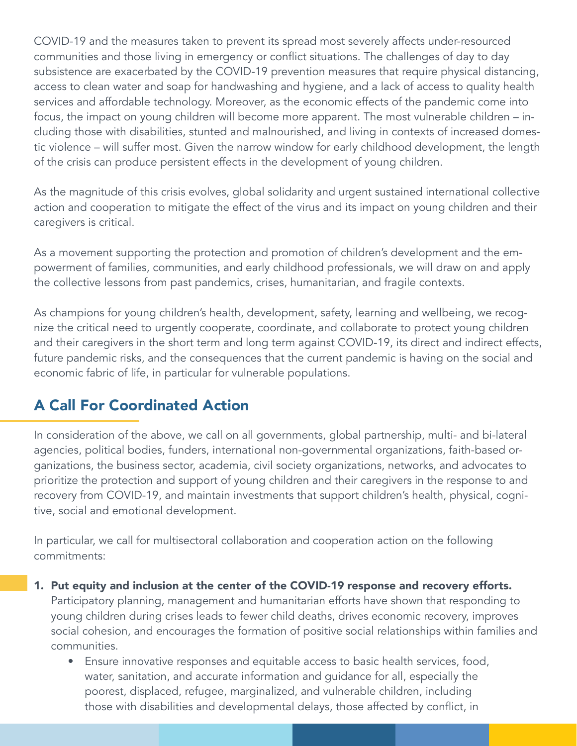COVID-19 and the measures taken to prevent its spread most severely affects under-resourced communities and those living in emergency or conflict situations. The challenges of day to day subsistence are exacerbated by the COVID-19 prevention measures that require physical distancing, access to clean water and soap for handwashing and hygiene, and a lack of access to quality health services and affordable technology. Moreover, as the economic effects of the pandemic come into focus, the impact on young children will become more apparent. The most vulnerable children – including those with disabilities, stunted and malnourished, and living in contexts of increased domestic violence – will suffer most. Given the narrow window for early childhood development, the length of the crisis can produce persistent effects in the development of young children.

As the magnitude of this crisis evolves, global solidarity and urgent sustained international collective action and cooperation to mitigate the effect of the virus and its impact on young children and their caregivers is critical.

As a movement supporting the protection and promotion of children's development and the empowerment of families, communities, and early childhood professionals, we will draw on and apply the collective lessons from past pandemics, crises, humanitarian, and fragile contexts.

As champions for young children's health, development, safety, learning and wellbeing, we recognize the critical need to urgently cooperate, coordinate, and collaborate to protect young children and their caregivers in the short term and long term against COVID-19, its direct and indirect effects, future pandemic risks, and the consequences that the current pandemic is having on the social and economic fabric of life, in particular for vulnerable populations.

## A Call For Coordinated Action

In consideration of the above, we call on all governments, global partnership, multi- and bi-lateral agencies, political bodies, funders, international non-governmental organizations, faith-based organizations, the business sector, academia, civil society organizations, networks, and advocates to prioritize the protection and support of young children and their caregivers in the response to and recovery from COVID-19, and maintain investments that support children's health, physical, cognitive, social and emotional development.

In particular, we call for multisectoral collaboration and cooperation action on the following commitments:

- 1. Put equity and inclusion at the center of the COVID-19 response and recovery efforts. Participatory planning, management and humanitarian efforts have shown that responding to young children during crises leads to fewer child deaths, drives economic recovery, improves social cohesion, and encourages the formation of positive social relationships within families and communities.
	- Ensure innovative responses and equitable access to basic health services, food, water, sanitation, and accurate information and guidance for all, especially the poorest, displaced, refugee, marginalized, and vulnerable children, including those with disabilities and developmental delays, those affected by conflict, in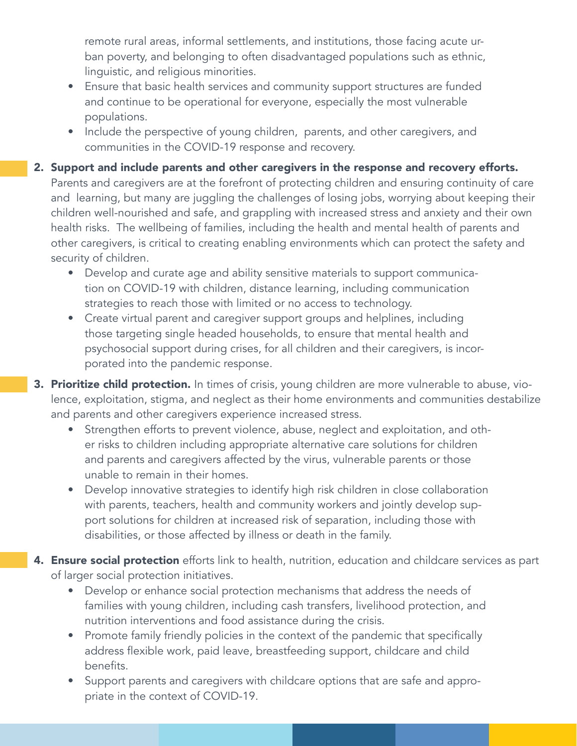remote rural areas, informal settlements, and institutions, those facing acute urban poverty, and belonging to often disadvantaged populations such as ethnic, linguistic, and religious minorities.

- Ensure that basic health services and community support structures are funded and continue to be operational for everyone, especially the most vulnerable populations.
- Include the perspective of young children, parents, and other caregivers, and communities in the COVID-19 response and recovery.
- 2. Support and include parents and other caregivers in the response and recovery efforts. Parents and caregivers are at the forefront of protecting children and ensuring continuity of care and learning, but many are juggling the challenges of losing jobs, worrying about keeping their children well-nourished and safe, and grappling with increased stress and anxiety and their own health risks. The wellbeing of families, including the health and mental health of parents and other caregivers, is critical to creating enabling environments which can protect the safety and security of children.
	- Develop and curate age and ability sensitive materials to support communication on COVID-19 with children, distance learning, including communication strategies to reach those with limited or no access to technology.
	- Create virtual parent and caregiver support groups and helplines, including those targeting single headed households, to ensure that mental health and psychosocial support during crises, for all children and their caregivers, is incorporated into the pandemic response.
- 3. Prioritize child protection. In times of crisis, young children are more vulnerable to abuse, violence, exploitation, stigma, and neglect as their home environments and communities destabilize and parents and other caregivers experience increased stress.
	- Strengthen efforts to prevent violence, abuse, neglect and exploitation, and other risks to children including appropriate alternative care solutions for children and parents and caregivers affected by the virus, vulnerable parents or those unable to remain in their homes.
	- Develop innovative strategies to identify high risk children in close collaboration with parents, teachers, health and community workers and jointly develop support solutions for children at increased risk of separation, including those with disabilities, or those affected by illness or death in the family.
- 4. Ensure social protection efforts link to health, nutrition, education and childcare services as part of larger social protection initiatives.
	- Develop or enhance social protection mechanisms that address the needs of families with young children, including cash transfers, livelihood protection, and nutrition interventions and food assistance during the crisis.
	- Promote family friendly policies in the context of the pandemic that specifically address flexible work, paid leave, breastfeeding support, childcare and child benefits.
	- Support parents and caregivers with childcare options that are safe and appropriate in the context of COVID-19.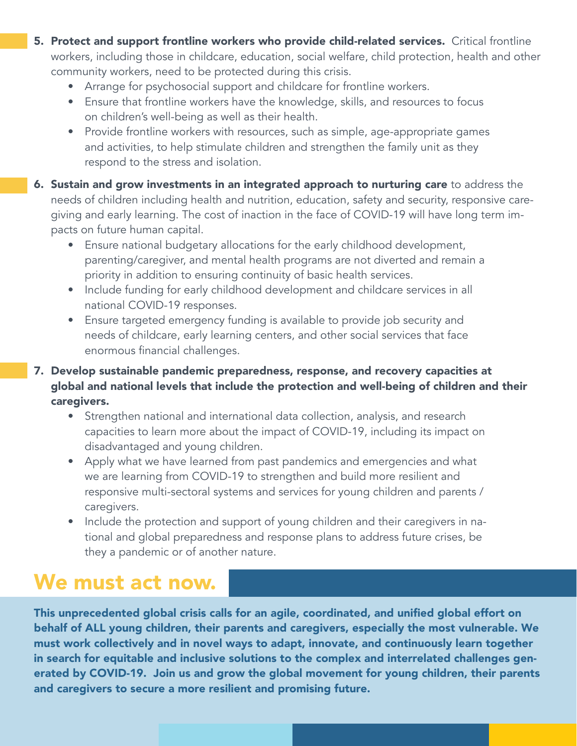- 5. Protect and support frontline workers who provide child-related services. Critical frontline workers, including those in childcare, education, social welfare, child protection, health and other community workers, need to be protected during this crisis.
	- Arrange for psychosocial support and childcare for frontline workers.
	- Ensure that frontline workers have the knowledge, skills, and resources to focus on children's well-being as well as their health.
	- Provide frontline workers with resources, such as simple, age-appropriate games and activities, to help stimulate children and strengthen the family unit as they respond to the stress and isolation.
- **6. Sustain and grow investments in an integrated approach to nurturing care** to address the needs of children including health and nutrition, education, safety and security, responsive caregiving and early learning. The cost of inaction in the face of COVID-19 will have long term impacts on future human capital.
	- Ensure national budgetary allocations for the early childhood development, parenting/caregiver, and mental health programs are not diverted and remain a priority in addition to ensuring continuity of basic health services.
	- Include funding for early childhood development and childcare services in all national COVID-19 responses.
	- Ensure targeted emergency funding is available to provide job security and needs of childcare, early learning centers, and other social services that face enormous financial challenges.
- 7. Develop sustainable pandemic preparedness, response, and recovery capacities at global and national levels that include the protection and well-being of children and their caregivers.
	- Strengthen national and international data collection, analysis, and research capacities to learn more about the impact of COVID-19, including its impact on disadvantaged and young children.
	- Apply what we have learned from past pandemics and emergencies and what we are learning from COVID-19 to strengthen and build more resilient and responsive multi-sectoral systems and services for young children and parents / caregivers.
	- Include the protection and support of young children and their caregivers in national and global preparedness and response plans to address future crises, be they a pandemic or of another nature.

## We must act now.

This unprecedented global crisis calls for an agile, coordinated, and unified global effort on behalf of ALL young children, their parents and caregivers, especially the most vulnerable. We must work collectively and in novel ways to adapt, innovate, and continuously learn together in search for equitable and inclusive solutions to the complex and interrelated challenges generated by COVID-19. Join us and grow the global movement for young children, their parents and caregivers to secure a more resilient and promising future.